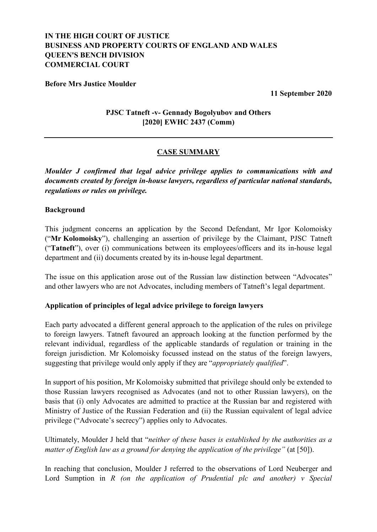# **IN THE HIGH COURT OF JUSTICE BUSINESS AND PROPERTY COURTS OF ENGLAND AND WALES QUEEN'S BENCH DIVISION COMMERCIAL COURT**

### **Before Mrs Justice Moulder**

**11 September 2020**

### **PJSC Tatneft -v- Gennady Bogolyubov and Others [2020] EWHC 2437 (Comm)**

## **CASE SUMMARY**

*Moulder J confirmed that legal advice privilege applies to communications with and documents created by foreign in-house lawyers, regardless of particular national standards, regulations or rules on privilege.*

### **Background**

This judgment concerns an application by the Second Defendant, Mr Igor Kolomoisky ("**Mr Kolomoisky**"), challenging an assertion of privilege by the Claimant, PJSC Tatneft ("**Tatneft**"), over (i) communications between its employees/officers and its in-house legal department and (ii) documents created by its in-house legal department.

The issue on this application arose out of the Russian law distinction between "Advocates" and other lawyers who are not Advocates, including members of Tatneft's legal department.

### **Application of principles of legal advice privilege to foreign lawyers**

Each party advocated a different general approach to the application of the rules on privilege to foreign lawyers. Tatneft favoured an approach looking at the function performed by the relevant individual, regardless of the applicable standards of regulation or training in the foreign jurisdiction. Mr Kolomoisky focussed instead on the status of the foreign lawyers, suggesting that privilege would only apply if they are "*appropriately qualified*".

In support of his position, Mr Kolomoisky submitted that privilege should only be extended to those Russian lawyers recognised as Advocates (and not to other Russian lawyers), on the basis that (i) only Advocates are admitted to practice at the Russian bar and registered with Ministry of Justice of the Russian Federation and (ii) the Russian equivalent of legal advice privilege ("Advocate's secrecy") applies only to Advocates.

Ultimately, Moulder J held that "*neither of these bases is established by the authorities as a matter of English law as a ground for denying the application of the privilege"* (at [50]).

In reaching that conclusion, Moulder J referred to the observations of Lord Neuberger and Lord Sumption in *R (on the application of Prudential plc and another) v Special*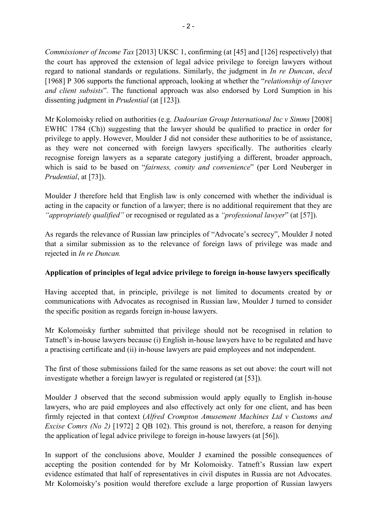*Commissioner of Income Tax* [2013] UKSC 1, confirming (at [45] and [126] respectively) that the court has approved the extension of legal advice privilege to foreign lawyers without regard to national standards or regulations. Similarly, the judgment in *In re Duncan*, *decd*  [1968] P 306 supports the functional approach, looking at whether the "*relationship of lawyer and client subsists*". The functional approach was also endorsed by Lord Sumption in his dissenting judgment in *Prudential* (at [123])*.*

Mr Kolomoisky relied on authorities (e.g. *Dadourian Group International Inc v Simms* [2008] EWHC 1784 (Ch)) suggesting that the lawyer should be qualified to practice in order for privilege to apply. However, Moulder J did not consider these authorities to be of assistance, as they were not concerned with foreign lawyers specifically. The authorities clearly recognise foreign lawyers as a separate category justifying a different, broader approach, which is said to be based on "*fairness, comity and convenience*" (per Lord Neuberger in *Prudential*, at [73]).

Moulder J therefore held that English law is only concerned with whether the individual is acting in the capacity or function of a lawyer; there is no additional requirement that they are *"appropriately qualified"* or recognised or regulated as a *"professional lawyer*" (at [57]).

As regards the relevance of Russian law principles of "Advocate's secrecy", Moulder J noted that a similar submission as to the relevance of foreign laws of privilege was made and rejected in *In re Duncan.* 

### **Application of principles of legal advice privilege to foreign in-house lawyers specifically**

Having accepted that, in principle, privilege is not limited to documents created by or communications with Advocates as recognised in Russian law, Moulder J turned to consider the specific position as regards foreign in-house lawyers.

Mr Kolomoisky further submitted that privilege should not be recognised in relation to Tatneft's in-house lawyers because (i) English in-house lawyers have to be regulated and have a practising certificate and (ii) in-house lawyers are paid employees and not independent.

The first of those submissions failed for the same reasons as set out above: the court will not investigate whether a foreign lawyer is regulated or registered (at [53]).

Moulder J observed that the second submission would apply equally to English in-house lawyers, who are paid employees and also effectively act only for one client, and has been firmly rejected in that context (*Alfred Crompton Amusement Machines Ltd v Customs and Excise Comrs (No 2)* [1972] 2 QB 102). This ground is not, therefore, a reason for denying the application of legal advice privilege to foreign in-house lawyers (at [56]).

In support of the conclusions above, Moulder J examined the possible consequences of accepting the position contended for by Mr Kolomoisky. Tatneft's Russian law expert evidence estimated that half of representatives in civil disputes in Russia are not Advocates. Mr Kolomoisky's position would therefore exclude a large proportion of Russian lawyers